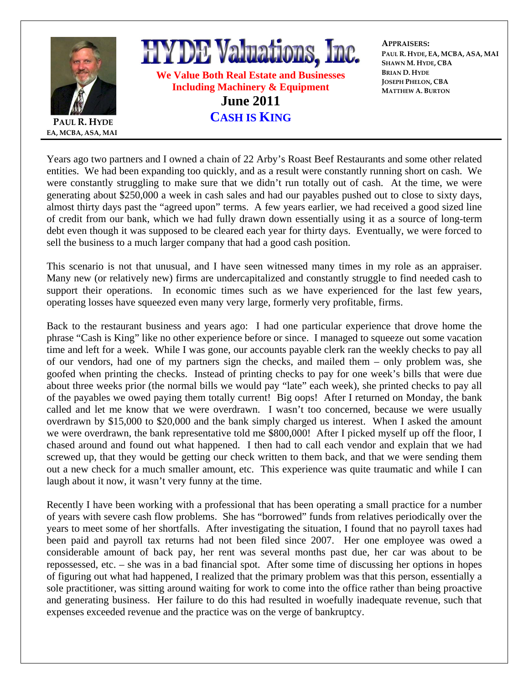

Years ago two partners and I owned a chain of 22 Arby's Roast Beef Restaurants and some other related entities. We had been expanding too quickly, and as a result were constantly running short on cash. We were constantly struggling to make sure that we didn't run totally out of cash. At the time, we were generating about \$250,000 a week in cash sales and had our payables pushed out to close to sixty days, almost thirty days past the "agreed upon" terms. A few years earlier, we had received a good sized line of credit from our bank, which we had fully drawn down essentially using it as a source of long-term debt even though it was supposed to be cleared each year for thirty days. Eventually, we were forced to sell the business to a much larger company that had a good cash position.

This scenario is not that unusual, and I have seen witnessed many times in my role as an appraiser. Many new (or relatively new) firms are undercapitalized and constantly struggle to find needed cash to support their operations. In economic times such as we have experienced for the last few years, operating losses have squeezed even many very large, formerly very profitable, firms.

Back to the restaurant business and years ago: I had one particular experience that drove home the phrase "Cash is King" like no other experience before or since. I managed to squeeze out some vacation time and left for a week. While I was gone, our accounts payable clerk ran the weekly checks to pay all of our vendors, had one of my partners sign the checks, and mailed them – only problem was, she goofed when printing the checks. Instead of printing checks to pay for one week's bills that were due about three weeks prior (the normal bills we would pay "late" each week), she printed checks to pay all of the payables we owed paying them totally current! Big oops! After I returned on Monday, the bank called and let me know that we were overdrawn. I wasn't too concerned, because we were usually overdrawn by \$15,000 to \$20,000 and the bank simply charged us interest. When I asked the amount we were overdrawn, the bank representative told me \$800,000! After I picked myself up off the floor, I chased around and found out what happened. I then had to call each vendor and explain that we had screwed up, that they would be getting our check written to them back, and that we were sending them out a new check for a much smaller amount, etc. This experience was quite traumatic and while I can laugh about it now, it wasn't very funny at the time.

Recently I have been working with a professional that has been operating a small practice for a number of years with severe cash flow problems. She has "borrowed" funds from relatives periodically over the years to meet some of her shortfalls. After investigating the situation, I found that no payroll taxes had been paid and payroll tax returns had not been filed since 2007. Her one employee was owed a considerable amount of back pay, her rent was several months past due, her car was about to be repossessed, etc. – she was in a bad financial spot. After some time of discussing her options in hopes of figuring out what had happened, I realized that the primary problem was that this person, essentially a sole practitioner, was sitting around waiting for work to come into the office rather than being proactive and generating business. Her failure to do this had resulted in woefully inadequate revenue, such that expenses exceeded revenue and the practice was on the verge of bankruptcy.